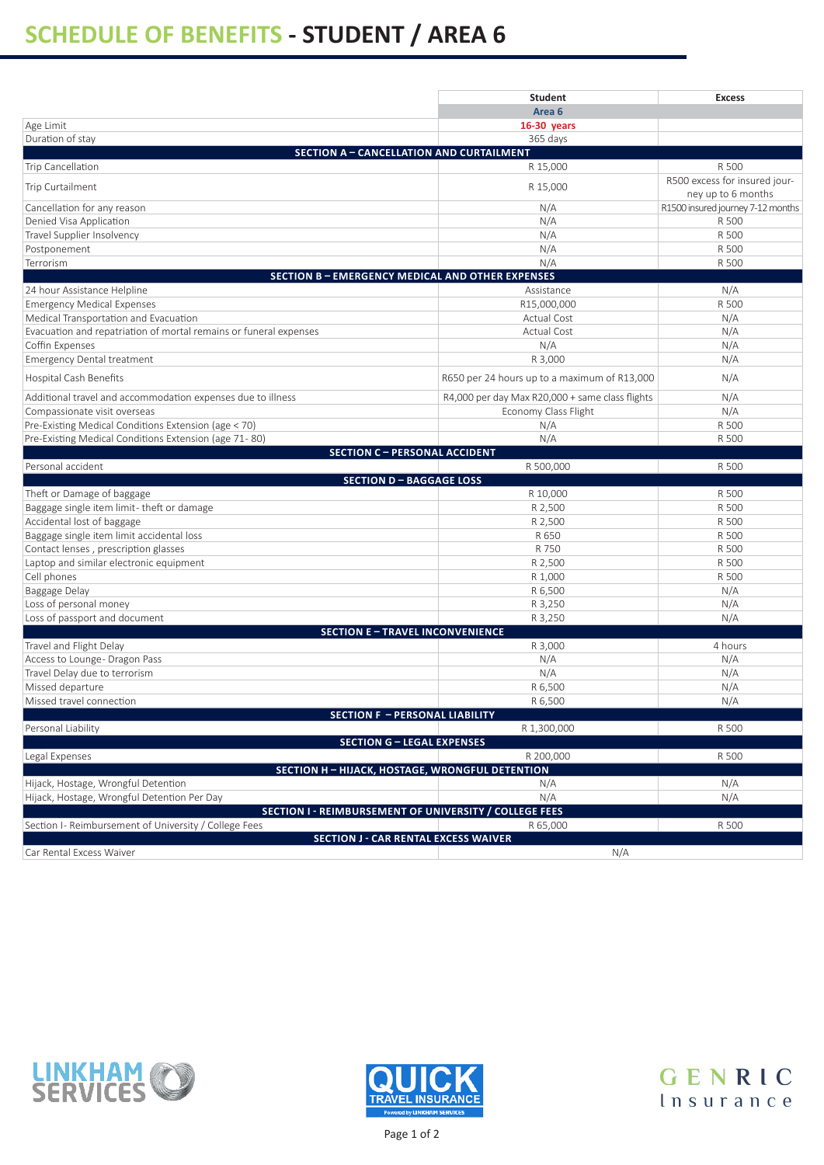## **SCHEDULE OF BENEFITS - STUDENT / AREA 6**

|                                                                         | <b>Student</b>                                  | <b>Excess</b>                                       |
|-------------------------------------------------------------------------|-------------------------------------------------|-----------------------------------------------------|
|                                                                         | Area <sub>6</sub>                               |                                                     |
| Age Limit                                                               | 16-30 years                                     |                                                     |
| Duration of stay                                                        | 365 days                                        |                                                     |
| <b>SECTION A - CANCELLATION AND CURTAILMENT</b>                         |                                                 |                                                     |
| Trip Cancellation                                                       | R 15,000                                        | R 500                                               |
| Trip Curtailment                                                        | R 15,000                                        | R500 excess for insured jour-<br>ney up to 6 months |
| Cancellation for any reason                                             | N/A                                             | R1500 insured journey 7-12 months                   |
| Denied Visa Application                                                 | N/A                                             | R 500                                               |
| Travel Supplier Insolvency                                              | N/A                                             | R 500                                               |
| Postponement                                                            | N/A                                             | R 500                                               |
| Terrorism                                                               | N/A                                             | R 500                                               |
| <b>SECTION B - EMERGENCY MEDICAL AND OTHER EXPENSES</b>                 |                                                 |                                                     |
| 24 hour Assistance Helpline                                             | Assistance                                      | N/A                                                 |
| <b>Emergency Medical Expenses</b>                                       | R15,000,000                                     | R 500                                               |
| Medical Transportation and Evacuation                                   | Actual Cost                                     | N/A                                                 |
| Evacuation and repatriation of mortal remains or funeral expenses       | Actual Cost                                     | N/A                                                 |
| Coffin Expenses                                                         | N/A                                             | N/A                                                 |
| <b>Emergency Dental treatment</b>                                       | R 3,000                                         | N/A                                                 |
| Hospital Cash Benefits                                                  | R650 per 24 hours up to a maximum of R13,000    | N/A                                                 |
| Additional travel and accommodation expenses due to illness             | R4,000 per day Max R20,000 + same class flights | N/A                                                 |
| Compassionate visit overseas                                            | Economy Class Flight                            | N/A                                                 |
| Pre-Existing Medical Conditions Extension (age < 70)                    | N/A                                             | R 500                                               |
| Pre-Existing Medical Conditions Extension (age 71-80)                   | N/A                                             | R 500                                               |
| <b>SECTION C - PERSONAL ACCIDENT</b>                                    |                                                 |                                                     |
| Personal accident                                                       | R 500,000                                       | R 500                                               |
| <b>SECTION D-BAGGAGE LOSS</b>                                           |                                                 |                                                     |
| Theft or Damage of baggage<br>Baggage single item limit-theft or damage | R 10,000<br>R 2,500                             | R 500<br>R 500                                      |
| Accidental lost of baggage                                              | R 2,500                                         | R 500                                               |
| Baggage single item limit accidental loss                               | R 650                                           | R 500                                               |
| Contact lenses, prescription glasses                                    | R 750                                           | R 500                                               |
| Laptop and similar electronic equipment                                 | R 2,500                                         | R 500                                               |
| Cell phones                                                             | R 1,000                                         | R 500                                               |
| Baggage Delay                                                           | R 6,500                                         | N/A                                                 |
| Loss of personal money                                                  | R 3,250                                         | N/A                                                 |
| Loss of passport and document                                           | R 3,250                                         | N/A                                                 |
| <b>SECTION E-TRAVEL INCONVENIENCE</b>                                   |                                                 |                                                     |
| Travel and Flight Delay                                                 | R 3,000                                         | 4 hours                                             |
| Access to Lounge- Dragon Pass                                           | N/A                                             | N/A                                                 |
| Travel Delay due to terrorism                                           | N/A                                             | N/A                                                 |
| Missed departure                                                        | R 6,500                                         | N/A                                                 |
| Missed travel connection                                                | R 6,500                                         | N/A                                                 |
| <b>SECTION F - PERSONAL LIABILITY</b>                                   |                                                 |                                                     |
| Personal Liability                                                      | R 1,300,000                                     | R 500                                               |
| <b>SECTION G - LEGAL EXPENSES</b>                                       |                                                 |                                                     |
| Legal Expenses                                                          | R 200,000                                       | R 500                                               |
| <b>SECTION H - HIJACK, HOSTAGE, WRONGFUL DETENTION</b>                  |                                                 |                                                     |
| Hijack, Hostage, Wrongful Detention                                     | N/A                                             | N/A                                                 |
| Hijack, Hostage, Wrongful Detention Per Day                             | N/A                                             | N/A                                                 |
| SECTION I - REIMBURSEMENT OF UNIVERSITY / COLLEGE FEES                  |                                                 |                                                     |
| Section I- Reimbursement of University / College Fees                   | R 65,000                                        | R 500                                               |
| <b>SECTION J - CAR RENTAL EXCESS WAIVER</b>                             |                                                 |                                                     |
| Car Rental Excess Waiver                                                | N/A                                             |                                                     |